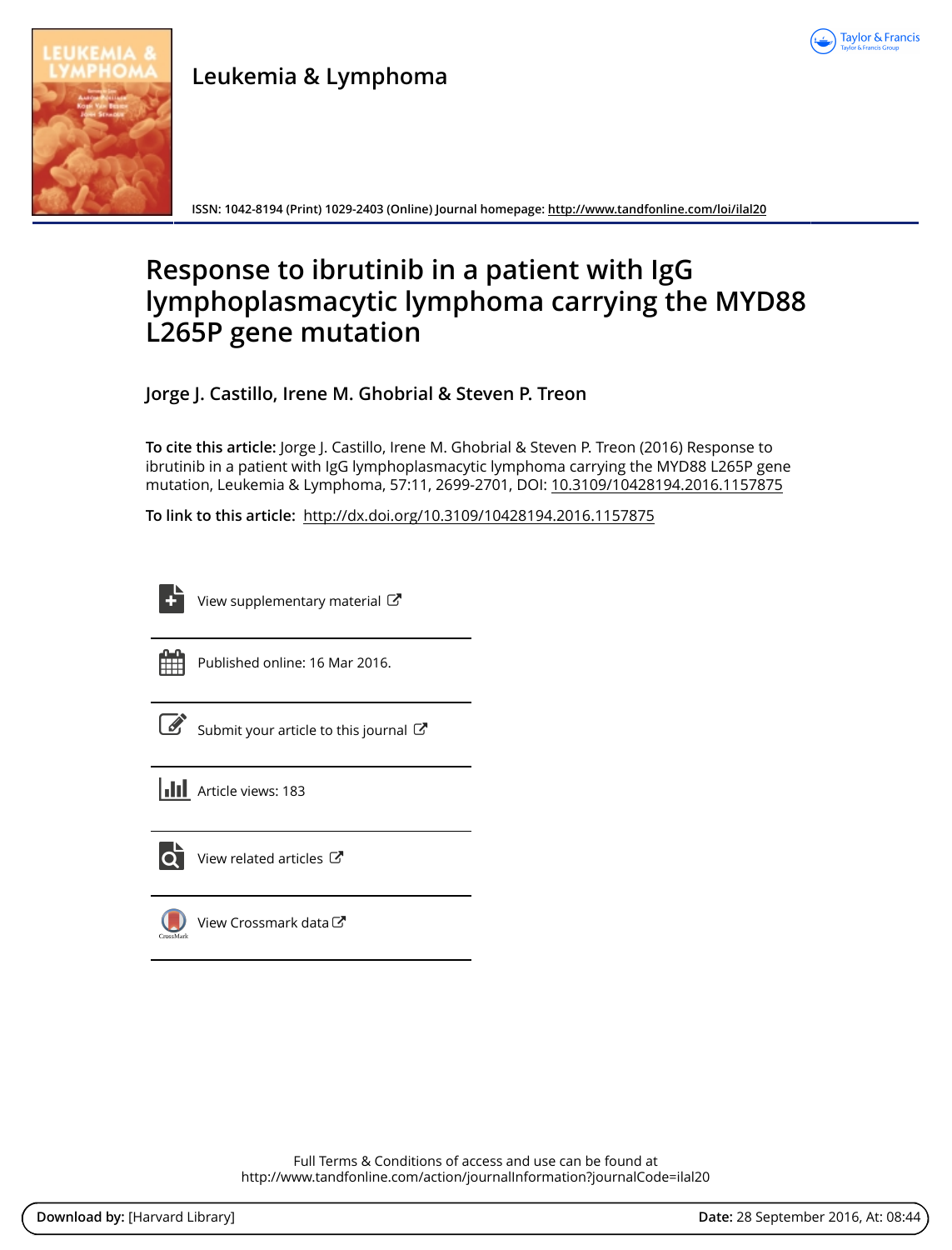

**Leukemia & Lymphoma**

**ISSN: 1042-8194 (Print) 1029-2403 (Online) Journal homepage:<http://www.tandfonline.com/loi/ilal20>**

# **Response to ibrutinib in a patient with IgG lymphoplasmacytic lymphoma carrying the MYD88 L265P gene mutation**

**Jorge J. Castillo, Irene M. Ghobrial & Steven P. Treon**

**To cite this article:** Jorge J. Castillo, Irene M. Ghobrial & Steven P. Treon (2016) Response to ibrutinib in a patient with IgG lymphoplasmacytic lymphoma carrying the MYD88 L265P gene mutation, Leukemia & Lymphoma, 57:11, 2699-2701, DOI: [10.3109/10428194.2016.1157875](http://www.tandfonline.com/action/showCitFormats?doi=10.3109/10428194.2016.1157875)

**To link to this article:** <http://dx.doi.org/10.3109/10428194.2016.1157875>

[View supplementary material](http://www.tandfonline.com/doi/suppl/10.3109/10428194.2016.1157875)  $\mathbb{Z}$ 



Published online: 16 Mar 2016.

| ۰. |
|----|

[Submit your article to this journal](http://www.tandfonline.com/action/authorSubmission?journalCode=ilal20&show=instructions)  $\mathbb{Z}$ 





 $\overline{Q}$  [View related articles](http://www.tandfonline.com/doi/mlt/10.3109/10428194.2016.1157875)  $\overline{C}$ 

[View Crossmark data](http://crossmark.crossref.org/dialog/?doi=10.3109/10428194.2016.1157875&domain=pdf&date_stamp=2016-03-16)

Full Terms & Conditions of access and use can be found at <http://www.tandfonline.com/action/journalInformation?journalCode=ilal20>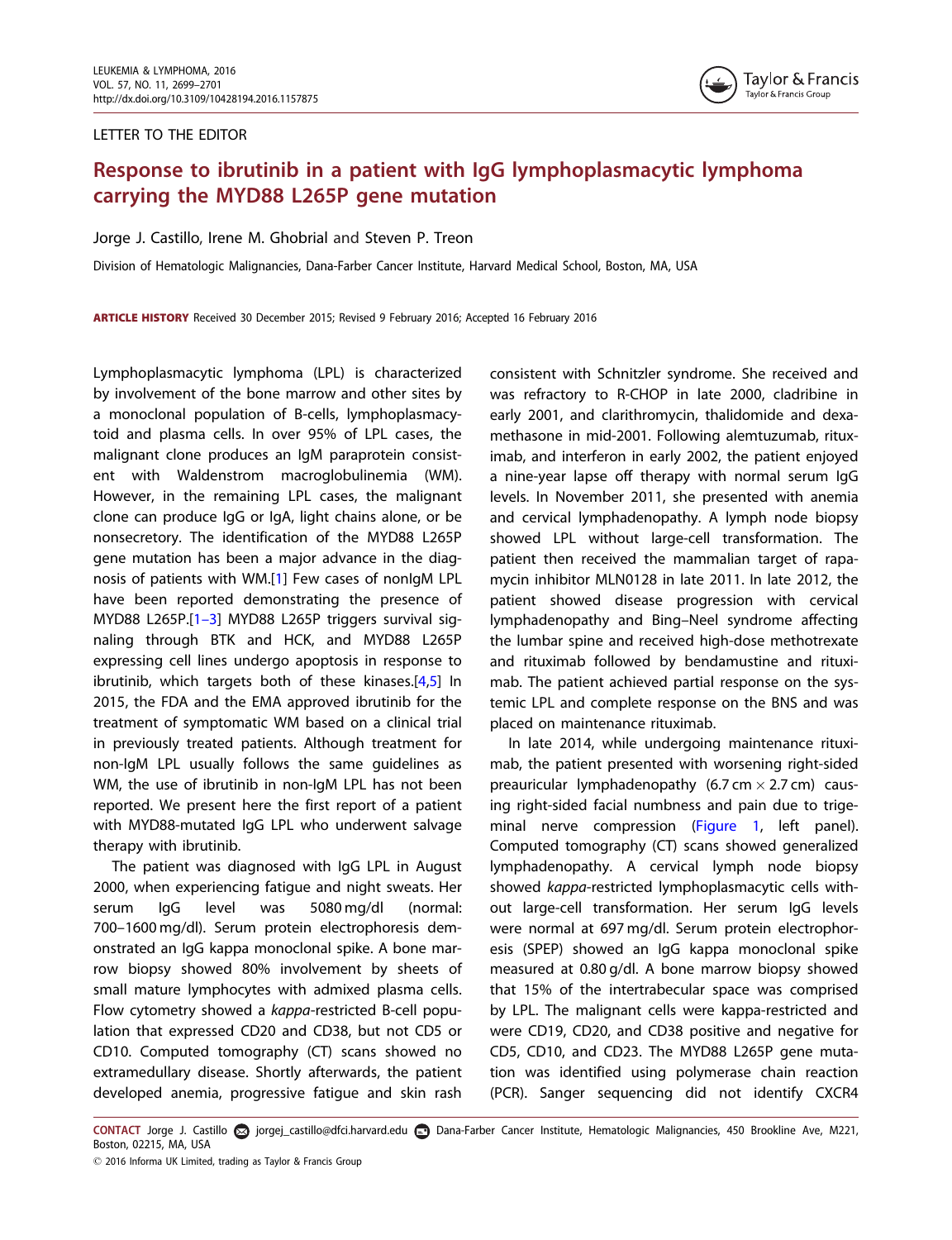#### LETTER TO THE EDITOR



## Response to ibrutinib in a patient with IgG lymphoplasmacytic lymphoma carrying the MYD88 L265P gene mutation

Jorge J. Castillo, Irene M. Ghobrial and Steven P. Treon

Division of Hematologic Malignancies, Dana-Farber Cancer Institute, Harvard Medical School, Boston, MA, USA

ARTICLE HISTORY Received 30 December 2015; Revised 9 February 2016; Accepted 16 February 2016

Lymphoplasmacytic lymphoma (LPL) is characterized by involvement of the bone marrow and other sites by a monoclonal population of B-cells, lymphoplasmacytoid and plasma cells. In over 95% of LPL cases, the malignant clone produces an IgM paraprotein consistent with Waldenstrom macroglobulinemia (WM). However, in the remaining LPL cases, the malignant clone can produce IgG or IgA, light chains alone, or be nonsecretory. The identification of the MYD88 L265P gene mutation has been a major advance in the diagnosis of patients with WM.[\[1](#page-3-0)] Few cases of nonIgM LPL have been reported demonstrating the presence of MYD88 L265P.[[1–3](#page-3-0)] MYD88 L265P triggers survival signaling through BTK and HCK, and MYD88 L265P expressing cell lines undergo apoptosis in response to ibrutinib, which targets both of these kinases.[[4,5](#page-3-0)] In 2015, the FDA and the EMA approved ibrutinib for the treatment of symptomatic WM based on a clinical trial in previously treated patients. Although treatment for non-IgM LPL usually follows the same guidelines as WM, the use of ibrutinib in non-IgM LPL has not been reported. We present here the first report of a patient with MYD88-mutated IgG LPL who underwent salvage therapy with ibrutinib.

The patient was diagnosed with IgG LPL in August 2000, when experiencing fatigue and night sweats. Her serum IgG level was 5080 mg/dl (normal: 700–1600 mg/dl). Serum protein electrophoresis demonstrated an IgG kappa monoclonal spike. A bone marrow biopsy showed 80% involvement by sheets of small mature lymphocytes with admixed plasma cells. Flow cytometry showed a kappa-restricted B-cell population that expressed CD20 and CD38, but not CD5 or CD10. Computed tomography (CT) scans showed no extramedullary disease. Shortly afterwards, the patient developed anemia, progressive fatigue and skin rash

consistent with Schnitzler syndrome. She received and was refractory to R-CHOP in late 2000, cladribine in early 2001, and clarithromycin, thalidomide and dexamethasone in mid-2001. Following alemtuzumab, rituximab, and interferon in early 2002, the patient enjoyed a nine-year lapse off therapy with normal serum IgG levels. In November 2011, she presented with anemia and cervical lymphadenopathy. A lymph node biopsy showed LPL without large-cell transformation. The patient then received the mammalian target of rapamycin inhibitor MLN0128 in late 2011. In late 2012, the patient showed disease progression with cervical lymphadenopathy and Bing–Neel syndrome affecting the lumbar spine and received high-dose methotrexate and rituximab followed by bendamustine and rituximab. The patient achieved partial response on the systemic LPL and complete response on the BNS and was placed on maintenance rituximab.

In late 2014, while undergoing maintenance rituximab, the patient presented with worsening right-sided preauricular lymphadenopathy (6.7 cm  $\times$  2.7 cm) causing right-sided facial numbness and pain due to trigeminal nerve compression ([Figure 1,](#page-2-0) left panel). Computed tomography (CT) scans showed generalized lymphadenopathy. A cervical lymph node biopsy showed kappa-restricted lymphoplasmacytic cells without large-cell transformation. Her serum IgG levels were normal at 697 mg/dl. Serum protein electrophoresis (SPEP) showed an IgG kappa monoclonal spike measured at 0.80 g/dl. A bone marrow biopsy showed that 15% of the intertrabecular space was comprised by LPL. The malignant cells were kappa-restricted and were CD19, CD20, and CD38 positive and negative for CD5, CD10, and CD23. The MYD88 L265P gene mutation was identified using polymerase chain reaction (PCR). Sanger sequencing did not identify CXCR4

CONTACT Jorge J. Castillo a jorgej\_castillo@dfci.harvard.edu **D** Dana-Farber Cancer Institute, Hematologic Malignancies, 450 Brookline Ave, M221, Boston, 02215, MA, USA

 $\odot$  2016 Informa UK Limited, trading as Taylor & Francis Group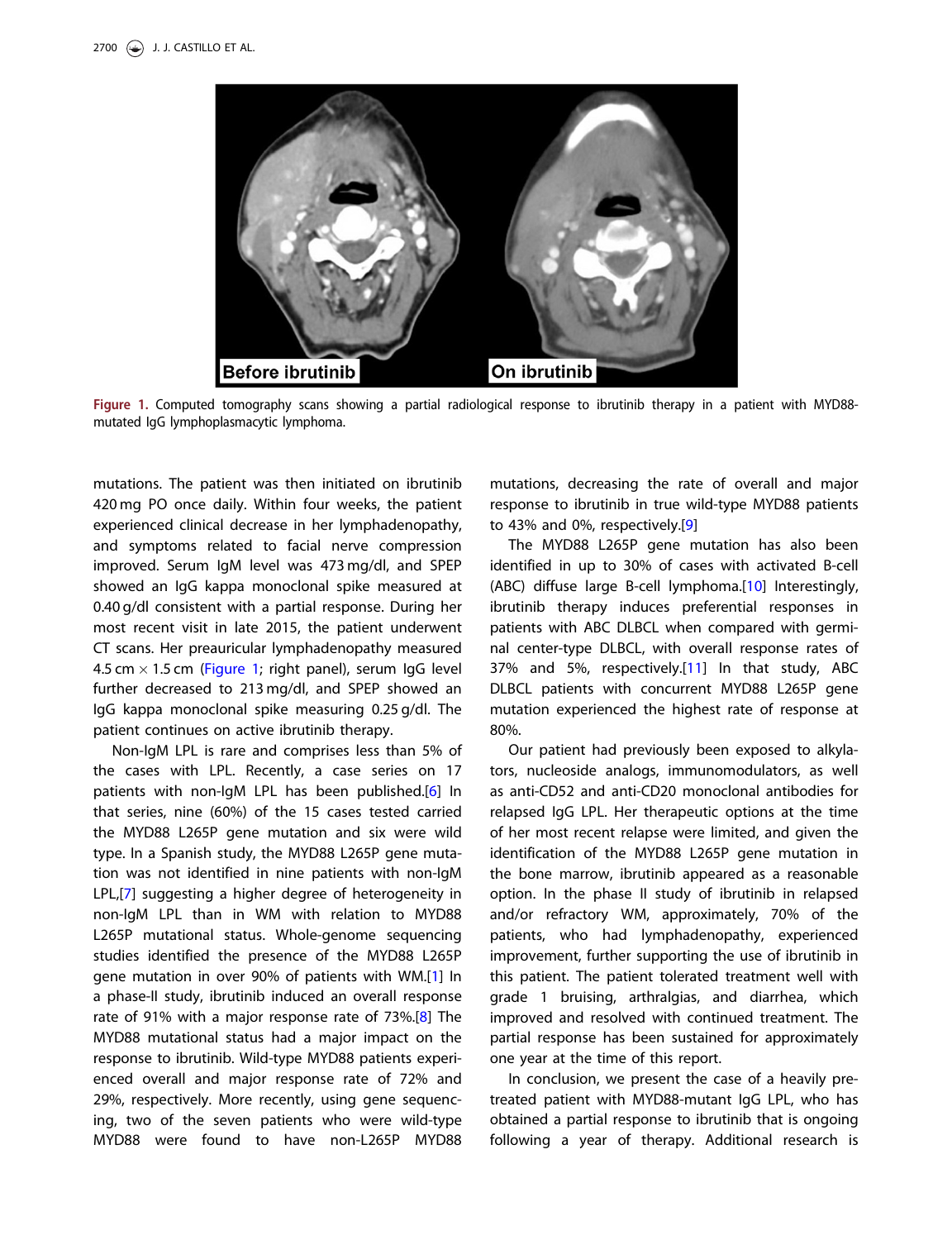<span id="page-2-0"></span>

Figure 1. Computed tomography scans showing a partial radiological response to ibrutinib therapy in a patient with MYD88 mutated IgG lymphoplasmacytic lymphoma.

mutations. The patient was then initiated on ibrutinib 420 mg PO once daily. Within four weeks, the patient experienced clinical decrease in her lymphadenopathy, and symptoms related to facial nerve compression improved. Serum IgM level was 473 mg/dl, and SPEP showed an IgG kappa monoclonal spike measured at 0.40 g/dl consistent with a partial response. During her most recent visit in late 2015, the patient underwent CT scans. Her preauricular lymphadenopathy measured 4.5 cm  $\times$  1.5 cm (Figure 1; right panel), serum IgG level further decreased to 213 mg/dl, and SPEP showed an IgG kappa monoclonal spike measuring 0.25 g/dl. The patient continues on active ibrutinib therapy.

Non-IgM LPL is rare and comprises less than 5% of the cases with LPL. Recently, a case series on 17 patients with non-IgM LPL has been published.[[6\]](#page-3-0) In that series, nine (60%) of the 15 cases tested carried the MYD88 L265P gene mutation and six were wild type. In a Spanish study, the MYD88 L265P gene mutation was not identified in nine patients with non-IgM LPL,[\[7](#page-3-0)] suggesting a higher degree of heterogeneity in non-IgM LPL than in WM with relation to MYD88 L265P mutational status. Whole-genome sequencing studies identified the presence of the MYD88 L265P gene mutation in over 90% of patients with WM.[\[1](#page-3-0)] In a phase-II study, ibrutinib induced an overall response rate of 91% with a major response rate of 73%.[[8\]](#page-3-0) The MYD88 mutational status had a major impact on the response to ibrutinib. Wild-type MYD88 patients experienced overall and major response rate of 72% and 29%, respectively. More recently, using gene sequencing, two of the seven patients who were wild-type MYD88 were found to have non-L265P MYD88

mutations, decreasing the rate of overall and major response to ibrutinib in true wild-type MYD88 patients to 43% and 0%, respectively.[[9\]](#page-3-0)

The MYD88 L265P gene mutation has also been identified in up to 30% of cases with activated B-cell (ABC) diffuse large B-cell lymphoma.[[10](#page-3-0)] Interestingly, ibrutinib therapy induces preferential responses in patients with ABC DLBCL when compared with germinal center-type DLBCL, with overall response rates of 37% and 5%, respectively.[[11\]](#page-3-0) In that study, ABC DLBCL patients with concurrent MYD88 L265P gene mutation experienced the highest rate of response at 80%.

Our patient had previously been exposed to alkylators, nucleoside analogs, immunomodulators, as well as anti-CD52 and anti-CD20 monoclonal antibodies for relapsed IgG LPL. Her therapeutic options at the time of her most recent relapse were limited, and given the identification of the MYD88 L265P gene mutation in the bone marrow, ibrutinib appeared as a reasonable option. In the phase II study of ibrutinib in relapsed and/or refractory WM, approximately, 70% of the patients, who had lymphadenopathy, experienced improvement, further supporting the use of ibrutinib in this patient. The patient tolerated treatment well with grade 1 bruising, arthralgias, and diarrhea, which improved and resolved with continued treatment. The partial response has been sustained for approximately one year at the time of this report.

In conclusion, we present the case of a heavily pretreated patient with MYD88-mutant IgG LPL, who has obtained a partial response to ibrutinib that is ongoing following a year of therapy. Additional research is